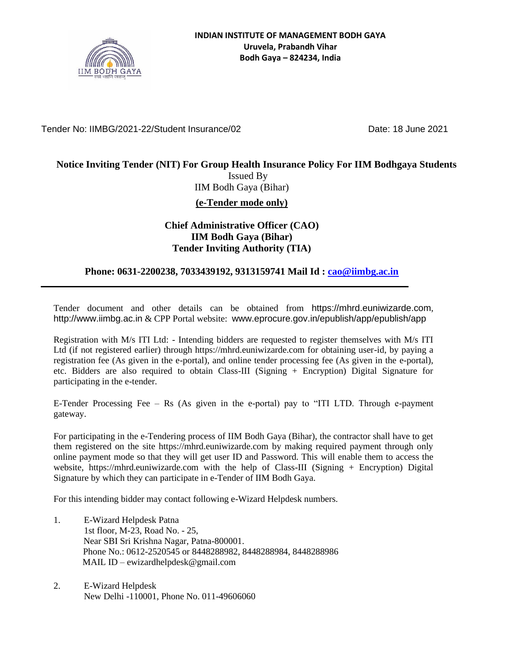

Tender No: IIMBG/2021-22/Student Insurance/02 Date: 18 June 2021

### **Notice Inviting Tender (NIT) For Group Health Insurance Policy For IIM Bodhgaya Students**

Issued By IIM Bodh Gaya (Bihar) **(e-Tender mode only)**

#### **Chief Administrative Officer (CAO) IIM Bodh Gaya (Bihar) Tender Inviting Authority (TIA)**

#### **Phone: 0631-2200238, 7033439192, 9313159741 Mail Id : [cao@iimbg.ac.in](mailto:cao@iimbg.ac.in)**

Tender document and other details can be obtained from [https://mhrd.euniwizarde.com](https://mhrd.euniwizarde.com/), [http://www.iimbg.ac.in](http://www.iimbg.ac.in/) & CPP Portal website: [www.eprocure.gov.in/epublish/app/epublish/app](http://www.eprocure.gov.in/epublish/app/epublish/app)

Registration with M/s ITI Ltd: - Intending bidders are requested to register themselves with M/s ITI Ltd (if not registered earlier) through https://mhrd.euniwizarde.com for obtaining user-id, by paying a registration fee (As given in the e-portal), and online tender processing fee (As given in the e-portal), etc. Bidders are also required to obtain Class-III (Signing + Encryption) Digital Signature for participating in the e-tender.

E-Tender Processing Fee – Rs (As given in the e-portal) pay to "ITI LTD. Through e-payment gateway.

For participating in the e-Tendering process of IIM Bodh Gaya (Bihar), the contractor shall have to get them registered on the site https://mhrd.euniwizarde.com by making required payment through only online payment mode so that they will get user ID and Password. This will enable them to access the website, https://mhrd.euniwizarde.com with the help of Class-III (Signing + Encryption) Digital Signature by which they can participate in e-Tender of IIM Bodh Gaya.

For this intending bidder may contact following e-Wizard Helpdesk numbers.

- 1. E-Wizard Helpdesk Patna 1st floor, M-23, Road No. - 25, Near SBI Sri Krishna Nagar, Patna-800001. Phone No.: 0612-2520545 or 8448288982, 8448288984, 8448288986 MAIL ID – ewizardhelpdesk@gmail.com
- 2. E-Wizard Helpdesk New Delhi -110001, Phone No. 011-49606060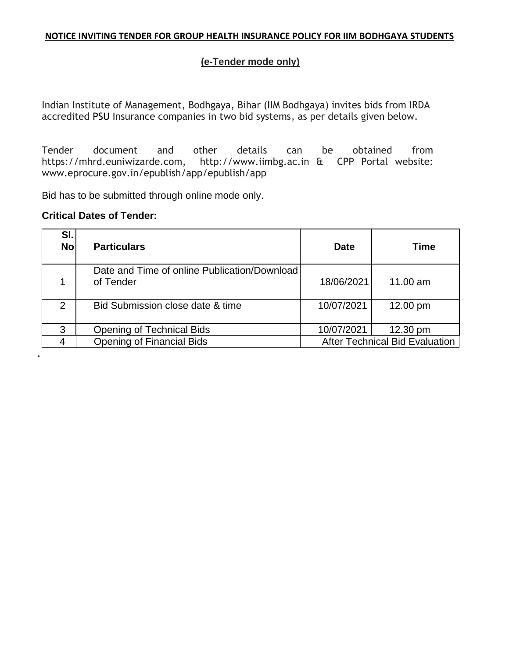#### **NOTICE INVITING TENDER FOR GROUP HEALTH INSURANCE POLICY FOR IIM BODHGAYA STUDENTS**

#### **(e-Tender mode only)**

Indian Institute of Management, Bodhgaya, Bihar (IIM Bodhgaya) invites bids from IRDA accredited PSU Insurance companies in two bid systems, as per details given below.

Tender document and other details can be obtained from [https://mhrd.euniwizarde.com,](https://mhrd.euniwizarde.com/) [http://www.iimbg.ac.in](http://www.iimbg.ac.in/) & CPP Portal website: [www.eprocure.gov.in/epublish/app/epublish/app](http://www.eprocure.gov.in/epublish/app/epublish/app)

Bid has to be submitted through online mode only.

#### **Critical Dates of Tender:**

**.**

| SI.<br><b>No</b> | <b>Particulars</b>                                        | <b>Date</b> | <b>Time</b>                           |
|------------------|-----------------------------------------------------------|-------------|---------------------------------------|
|                  | Date and Time of online Publication/Download<br>of Tender | 18/06/2021  | 11.00 am                              |
| $\mathcal{P}$    | Bid Submission close date & time                          | 10/07/2021  | 12.00 pm                              |
| 3                | <b>Opening of Technical Bids</b>                          | 10/07/2021  | 12.30 pm                              |
| 4                | <b>Opening of Financial Bids</b>                          |             | <b>After Technical Bid Evaluation</b> |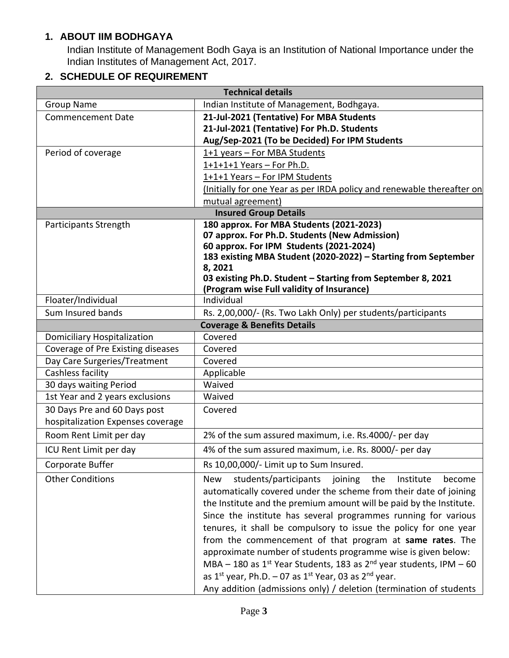### **1. ABOUT IIM BODHGAYA**

Indian Institute of Management Bodh Gaya is an Institution of National Importance under the Indian Institutes of Management Act, 2017.

### **2. SCHEDULE OF REQUIREMENT**

| <b>Technical details</b>           |                                                                                            |  |  |
|------------------------------------|--------------------------------------------------------------------------------------------|--|--|
| <b>Group Name</b>                  | Indian Institute of Management, Bodhgaya.                                                  |  |  |
| <b>Commencement Date</b>           | 21-Jul-2021 (Tentative) For MBA Students                                                   |  |  |
|                                    | 21-Jul-2021 (Tentative) For Ph.D. Students                                                 |  |  |
|                                    | Aug/Sep-2021 (To be Decided) For IPM Students                                              |  |  |
| Period of coverage                 | 1+1 years - For MBA Students                                                               |  |  |
|                                    | $1+1+1+1$ Years - For Ph.D.                                                                |  |  |
|                                    | 1+1+1 Years - For IPM Students                                                             |  |  |
|                                    | (Initially for one Year as per IRDA policy and renewable thereafter on                     |  |  |
|                                    | mutual agreement)                                                                          |  |  |
|                                    | <b>Insured Group Details</b>                                                               |  |  |
| Participants Strength              | 180 approx. For MBA Students (2021-2023)                                                   |  |  |
|                                    | 07 approx. For Ph.D. Students (New Admission)<br>60 approx. For IPM Students (2021-2024)   |  |  |
|                                    | 183 existing MBA Student (2020-2022) - Starting from September                             |  |  |
|                                    | 8,2021                                                                                     |  |  |
|                                    | 03 existing Ph.D. Student - Starting from September 8, 2021                                |  |  |
|                                    | (Program wise Full validity of Insurance)                                                  |  |  |
| Floater/Individual                 | Individual                                                                                 |  |  |
| Sum Insured bands                  | Rs. 2,00,000/- (Rs. Two Lakh Only) per students/participants                               |  |  |
|                                    | <b>Coverage &amp; Benefits Details</b>                                                     |  |  |
| <b>Domiciliary Hospitalization</b> | Covered                                                                                    |  |  |
| Coverage of Pre Existing diseases  | Covered                                                                                    |  |  |
| Day Care Surgeries/Treatment       | Covered                                                                                    |  |  |
| Cashless facility                  | Applicable                                                                                 |  |  |
| 30 days waiting Period             | Waived                                                                                     |  |  |
| 1st Year and 2 years exclusions    | Waived                                                                                     |  |  |
| 30 Days Pre and 60 Days post       | Covered                                                                                    |  |  |
| hospitalization Expenses coverage  |                                                                                            |  |  |
| Room Rent Limit per day            | 2% of the sum assured maximum, i.e. Rs.4000/- per day                                      |  |  |
| ICU Rent Limit per day             | 4% of the sum assured maximum, i.e. Rs. 8000/- per day                                     |  |  |
| Corporate Buffer                   | Rs 10,00,000/- Limit up to Sum Insured.                                                    |  |  |
| <b>Other Conditions</b>            | students/participants<br><b>New</b><br>joining<br>the<br>Institute<br>become               |  |  |
|                                    | automatically covered under the scheme from their date of joining                          |  |  |
|                                    | the Institute and the premium amount will be paid by the Institute.                        |  |  |
|                                    | Since the institute has several programmes running for various                             |  |  |
|                                    | tenures, it shall be compulsory to issue the policy for one year                           |  |  |
|                                    | from the commencement of that program at same rates. The                                   |  |  |
|                                    | approximate number of students programme wise is given below:                              |  |  |
|                                    | MBA – 180 as 1 <sup>st</sup> Year Students, 183 as 2 <sup>nd</sup> year students, IPM – 60 |  |  |
|                                    | as $1^{st}$ year, Ph.D. - 07 as $1^{st}$ Year, 03 as $2^{nd}$ year.                        |  |  |
|                                    | Any addition (admissions only) / deletion (termination of students                         |  |  |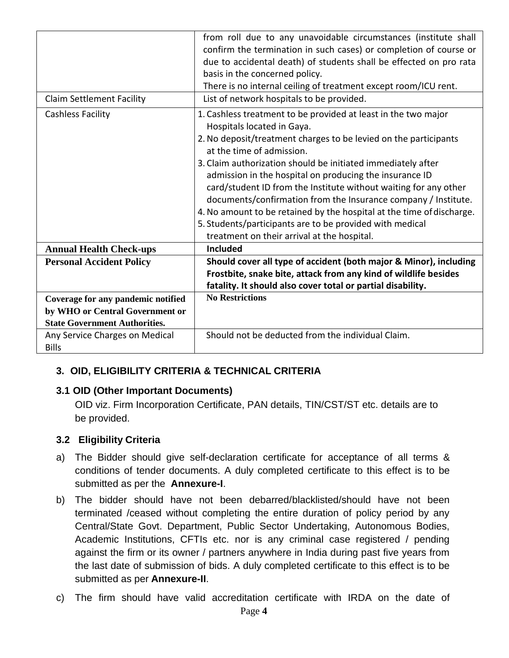|                                      | from roll due to any unavoidable circumstances (institute shall       |  |  |
|--------------------------------------|-----------------------------------------------------------------------|--|--|
|                                      | confirm the termination in such cases) or completion of course or     |  |  |
|                                      | due to accidental death) of students shall be effected on pro rata    |  |  |
|                                      | basis in the concerned policy.                                        |  |  |
|                                      | There is no internal ceiling of treatment except room/ICU rent.       |  |  |
| <b>Claim Settlement Facility</b>     | List of network hospitals to be provided.                             |  |  |
| Cashless Facility                    | 1. Cashless treatment to be provided at least in the two major        |  |  |
|                                      | Hospitals located in Gaya.                                            |  |  |
|                                      | 2. No deposit/treatment charges to be levied on the participants      |  |  |
|                                      | at the time of admission.                                             |  |  |
|                                      | 3. Claim authorization should be initiated immediately after          |  |  |
|                                      | admission in the hospital on producing the insurance ID               |  |  |
|                                      | card/student ID from the Institute without waiting for any other      |  |  |
|                                      | documents/confirmation from the Insurance company / Institute.        |  |  |
|                                      | 4. No amount to be retained by the hospital at the time of discharge. |  |  |
|                                      | 5. Students/participants are to be provided with medical              |  |  |
|                                      | treatment on their arrival at the hospital.                           |  |  |
|                                      | <b>Included</b>                                                       |  |  |
| <b>Annual Health Check-ups</b>       |                                                                       |  |  |
| <b>Personal Accident Policy</b>      | Should cover all type of accident (both major & Minor), including     |  |  |
|                                      | Frostbite, snake bite, attack from any kind of wildlife besides       |  |  |
|                                      | fatality. It should also cover total or partial disability.           |  |  |
| Coverage for any pandemic notified   | <b>No Restrictions</b>                                                |  |  |
| by WHO or Central Government or      |                                                                       |  |  |
| <b>State Government Authorities.</b> |                                                                       |  |  |
| Any Service Charges on Medical       | Should not be deducted from the individual Claim.                     |  |  |
| <b>Bills</b>                         |                                                                       |  |  |

# **3. OID, ELIGIBILITY CRITERIA & TECHNICAL CRITERIA**

### **3.1 OID (Other Important Documents)**

OID viz. Firm Incorporation Certificate, PAN details, TIN/CST/ST etc. details are to be provided.

### **3.2 Eligibility Criteria**

- a) The Bidder should give self-declaration certificate for acceptance of all terms & conditions of tender documents. A duly completed certificate to this effect is to be submitted as per the **Annexure-I**.
- b) The bidder should have not been debarred/blacklisted/should have not been terminated /ceased without completing the entire duration of policy period by any Central/State Govt. Department, Public Sector Undertaking, Autonomous Bodies, Academic Institutions, CFTIs etc. nor is any criminal case registered / pending against the firm or its owner / partners anywhere in India during past five years from the last date of submission of bids. A duly completed certificate to this effect is to be submitted as per **Annexure-II**.
- c) The firm should have valid accreditation certificate with IRDA on the date of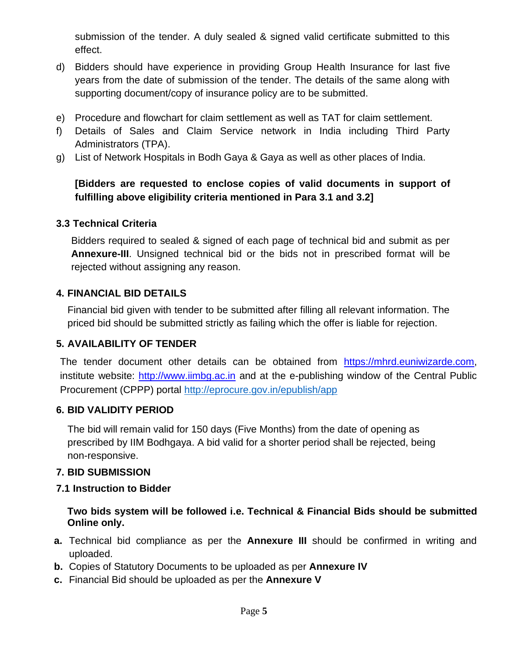submission of the tender. A duly sealed & signed valid certificate submitted to this effect.

- d) Bidders should have experience in providing Group Health Insurance for last five years from the date of submission of the tender. The details of the same along with supporting document/copy of insurance policy are to be submitted.
- e) Procedure and flowchart for claim settlement as well as TAT for claim settlement.
- f) Details of Sales and Claim Service network in India including Third Party Administrators (TPA).
- g) List of Network Hospitals in Bodh Gaya & Gaya as well as other places of India.

## **[Bidders are requested to enclose copies of valid documents in support of fulfilling above eligibility criteria mentioned in Para 3.1 and 3.2]**

## **3.3 Technical Criteria**

Bidders required to sealed & signed of each page of technical bid and submit as per **Annexure-III**. Unsigned technical bid or the bids not in prescribed format will be rejected without assigning any reason.

## **4. FINANCIAL BID DETAILS**

Financial bid given with tender to be submitted after filling all relevant information. The priced bid should be submitted strictly as failing which the offer is liable for rejection.

### **5. AVAILABILITY OF TENDER**

The tender document other details can be obtained from [https://mhrd.euniwizarde.com,](https://mhrd.euniwizarde.com/) institute website: [http://www.iimbg.ac.in](http://www.iimbg.ac.in/) and at the e-publishing window of the Central Public Procurement (CPPP) portal http://eprocure.gov.in/epublish/app

### **6. BID VALIDITY PERIOD**

The bid will remain valid for 150 days (Five Months) from the date of opening as prescribed by IIM Bodhgaya. A bid valid for a shorter period shall be rejected, being non-responsive.

### **7. BID SUBMISSION**

# **7.1 Instruction to Bidder**

**Two bids system will be followed i.e. Technical & Financial Bids should be submitted Online only.** 

- **a.** Technical bid compliance as per the **Annexure III** should be confirmed in writing and uploaded.
- **b.** Copies of Statutory Documents to be uploaded as per **Annexure IV**
- **c.** Financial Bid should be uploaded as per the **Annexure V**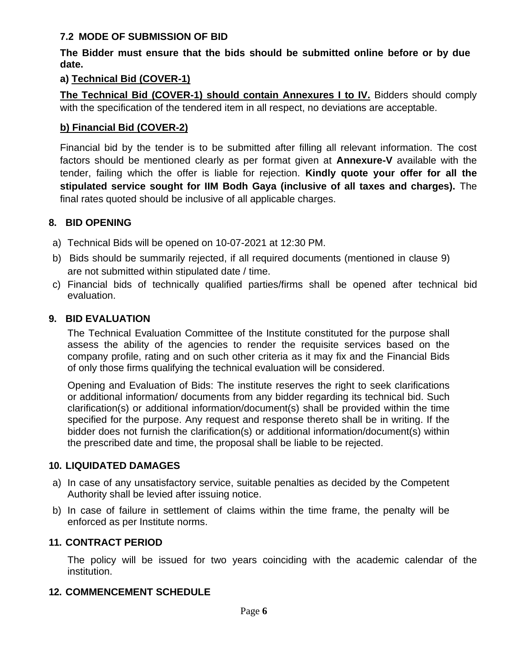### **7.2 MODE OF SUBMISSION OF BID**

#### **The Bidder must ensure that the bids should be submitted online before or by due date.**

#### **a) Technical Bid (COVER-1)**

**The Technical Bid (COVER-1) should contain Annexures I to IV.** Bidders should comply with the specification of the tendered item in all respect, no deviations are acceptable.

#### **b) Financial Bid (COVER-2)**

Financial bid by the tender is to be submitted after filling all relevant information. The cost factors should be mentioned clearly as per format given at **Annexure-V** available with the tender, failing which the offer is liable for rejection. **Kindly quote your offer for all the stipulated service sought for IIM Bodh Gaya (inclusive of all taxes and charges).** The final rates quoted should be inclusive of all applicable charges.

#### **8. BID OPENING**

- a) Technical Bids will be opened on 10-07-2021 at 12:30 PM.
- b) Bids should be summarily rejected, if all required documents (mentioned in clause 9) are not submitted within stipulated date / time.
- c) Financial bids of technically qualified parties/firms shall be opened after technical bid evaluation.

#### **9. BID EVALUATION**

The Technical Evaluation Committee of the Institute constituted for the purpose shall assess the ability of the agencies to render the requisite services based on the company profile, rating and on such other criteria as it may fix and the Financial Bids of only those firms qualifying the technical evaluation will be considered.

Opening and Evaluation of Bids: The institute reserves the right to seek clarifications or additional information/ documents from any bidder regarding its technical bid. Such clarification(s) or additional information/document(s) shall be provided within the time specified for the purpose. Any request and response thereto shall be in writing. If the bidder does not furnish the clarification(s) or additional information/document(s) within the prescribed date and time, the proposal shall be liable to be rejected.

### **10. LIQUIDATED DAMAGES**

- a) In case of any unsatisfactory service, suitable penalties as decided by the Competent Authority shall be levied after issuing notice.
- b) In case of failure in settlement of claims within the time frame, the penalty will be enforced as per Institute norms.

#### **11. CONTRACT PERIOD**

The policy will be issued for two years coinciding with the academic calendar of the institution.

#### **12. COMMENCEMENT SCHEDULE**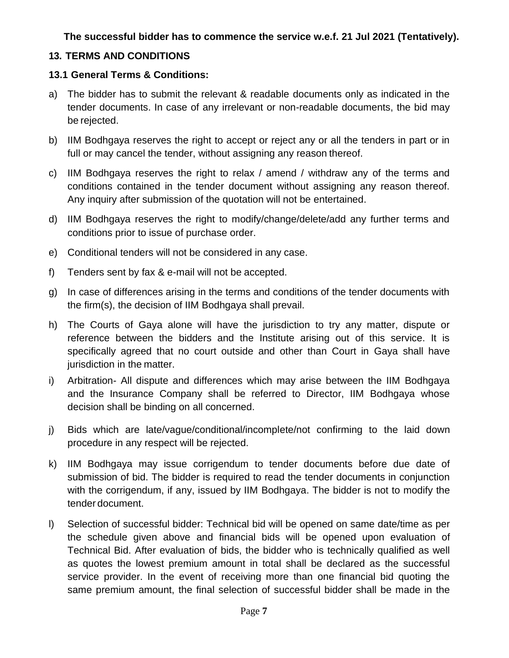### **The successful bidder has to commence the service w.e.f. 21 Jul 2021 (Tentatively).**

### **13. TERMS AND CONDITIONS**

### **13.1 General Terms & Conditions:**

- a) The bidder has to submit the relevant & readable documents only as indicated in the tender documents. In case of any irrelevant or non-readable documents, the bid may be rejected.
- b) IIM Bodhgaya reserves the right to accept or reject any or all the tenders in part or in full or may cancel the tender, without assigning any reason thereof.
- c) IIM Bodhgaya reserves the right to relax / amend / withdraw any of the terms and conditions contained in the tender document without assigning any reason thereof. Any inquiry after submission of the quotation will not be entertained.
- d) IIM Bodhgaya reserves the right to modify/change/delete/add any further terms and conditions prior to issue of purchase order.
- e) Conditional tenders will not be considered in any case.
- f) Tenders sent by fax & e-mail will not be accepted.
- g) In case of differences arising in the terms and conditions of the tender documents with the firm(s), the decision of IIM Bodhgaya shall prevail.
- h) The Courts of Gaya alone will have the jurisdiction to try any matter, dispute or reference between the bidders and the Institute arising out of this service. It is specifically agreed that no court outside and other than Court in Gaya shall have jurisdiction in the matter.
- i) Arbitration- All dispute and differences which may arise between the IIM Bodhgaya and the Insurance Company shall be referred to Director, IIM Bodhgaya whose decision shall be binding on all concerned.
- j) Bids which are late/vague/conditional/incomplete/not confirming to the laid down procedure in any respect will be rejected.
- k) IIM Bodhgaya may issue corrigendum to tender documents before due date of submission of bid. The bidder is required to read the tender documents in conjunction with the corrigendum, if any, issued by IIM Bodhgaya. The bidder is not to modify the tender document.
- l) Selection of successful bidder: Technical bid will be opened on same date/time as per the schedule given above and financial bids will be opened upon evaluation of Technical Bid. After evaluation of bids, the bidder who is technically qualified as well as quotes the lowest premium amount in total shall be declared as the successful service provider. In the event of receiving more than one financial bid quoting the same premium amount, the final selection of successful bidder shall be made in the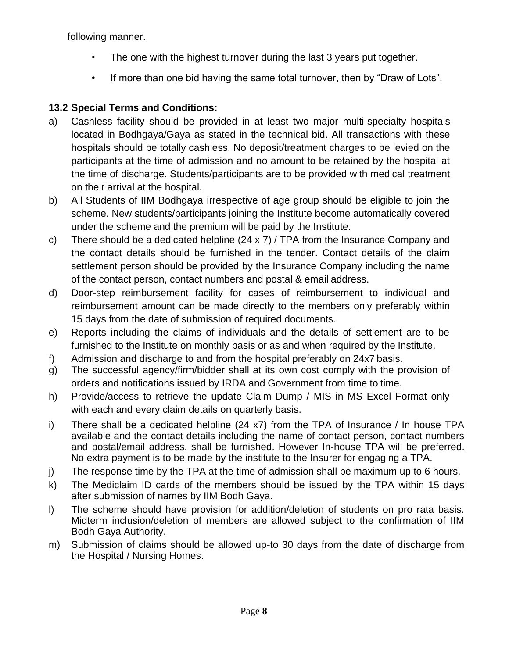following manner.

- The one with the highest turnover during the last 3 years put together.
- If more than one bid having the same total turnover, then by "Draw of Lots".

# **13.2 Special Terms and Conditions:**

- a) Cashless facility should be provided in at least two major multi-specialty hospitals located in Bodhgaya/Gaya as stated in the technical bid. All transactions with these hospitals should be totally cashless. No deposit/treatment charges to be levied on the participants at the time of admission and no amount to be retained by the hospital at the time of discharge. Students/participants are to be provided with medical treatment on their arrival at the hospital.
- b) All Students of IIM Bodhgaya irrespective of age group should be eligible to join the scheme. New students/participants joining the Institute become automatically covered under the scheme and the premium will be paid by the Institute.
- c) There should be a dedicated helpline (24 x 7) / TPA from the Insurance Company and the contact details should be furnished in the tender. Contact details of the claim settlement person should be provided by the Insurance Company including the name of the contact person, contact numbers and postal & email address.
- d) Door-step reimbursement facility for cases of reimbursement to individual and reimbursement amount can be made directly to the members only preferably within 15 days from the date of submission of required documents.
- e) Reports including the claims of individuals and the details of settlement are to be furnished to the Institute on monthly basis or as and when required by the Institute.
- f) Admission and discharge to and from the hospital preferably on 24x7 basis.
- g) The successful agency/firm/bidder shall at its own cost comply with the provision of orders and notifications issued by IRDA and Government from time to time.
- h) Provide/access to retrieve the update Claim Dump / MIS in MS Excel Format only with each and every claim details on quarterly basis.
- i) There shall be a dedicated helpline (24 x7) from the TPA of Insurance / In house TPA available and the contact details including the name of contact person, contact numbers and postal/email address, shall be furnished. However In-house TPA will be preferred. No extra payment is to be made by the institute to the Insurer for engaging a TPA.
- j) The response time by the TPA at the time of admission shall be maximum up to 6 hours.
- k) The Mediclaim ID cards of the members should be issued by the TPA within 15 days after submission of names by IIM Bodh Gaya.
- l) The scheme should have provision for addition/deletion of students on pro rata basis. Midterm inclusion/deletion of members are allowed subject to the confirmation of IIM Bodh Gaya Authority.
- m) Submission of claims should be allowed up-to 30 days from the date of discharge from the Hospital / Nursing Homes.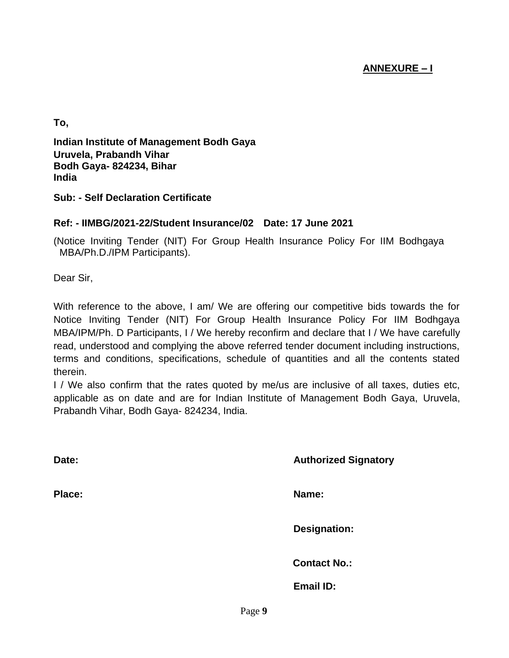### **ANNEXURE – I**

**To,**

**Indian Institute of Management Bodh Gaya Uruvela, Prabandh Vihar Bodh Gaya- 824234, Bihar India**

**Sub: - Self Declaration Certificate**

#### **Ref: - IIMBG/2021-22/Student Insurance/02 Date: 17 June 2021**

(Notice Inviting Tender (NIT) For Group Health Insurance Policy For IIM Bodhgaya MBA/Ph.D./IPM Participants).

Dear Sir,

With reference to the above, I am/ We are offering our competitive bids towards the for Notice Inviting Tender (NIT) For Group Health Insurance Policy For IIM Bodhgaya MBA/IPM/Ph. D Participants, I / We hereby reconfirm and declare that I / We have carefully read, understood and complying the above referred tender document including instructions, terms and conditions, specifications, schedule of quantities and all the contents stated therein.

I / We also confirm that the rates quoted by me/us are inclusive of all taxes, duties etc, applicable as on date and are for Indian Institute of Management Bodh Gaya, Uruvela, Prabandh Vihar, Bodh Gaya- 824234, India.

| Date:  |        | <b>Authorized Signatory</b> |
|--------|--------|-----------------------------|
| Place: |        | Name:                       |
|        |        | <b>Designation:</b>         |
|        |        | <b>Contact No.:</b>         |
|        |        | <b>Email ID:</b>            |
|        | Page 9 |                             |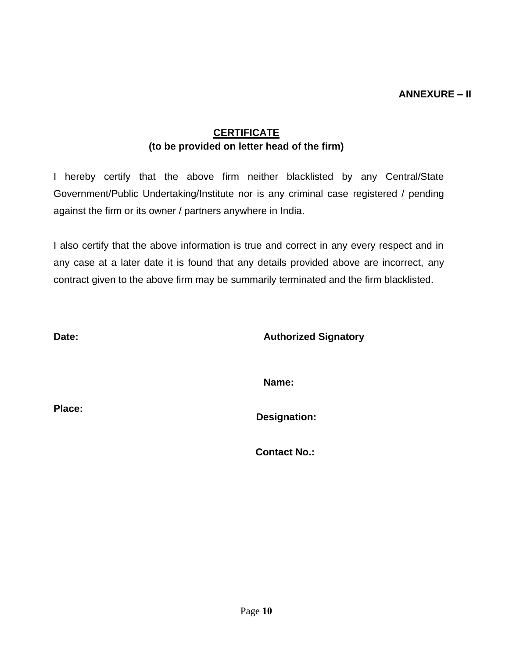### **CERTIFICATE (to be provided on letter head of the firm)**

I hereby certify that the above firm neither blacklisted by any Central/State Government/Public Undertaking/Institute nor is any criminal case registered / pending against the firm or its owner / partners anywhere in India.

I also certify that the above information is true and correct in any every respect and in any case at a later date it is found that any details provided above are incorrect, any contract given to the above firm may be summarily terminated and the firm blacklisted.

**Date: Authorized Signatory**

**Name:**

**Place:**

**Designation:**

**Contact No.:**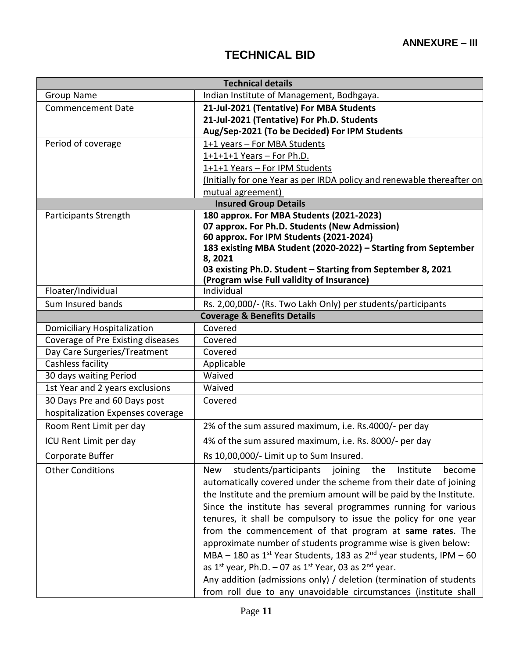# **TECHNICAL BID**

| <b>Technical details</b>          |                                                                                          |  |  |
|-----------------------------------|------------------------------------------------------------------------------------------|--|--|
| <b>Group Name</b>                 | Indian Institute of Management, Bodhgaya.                                                |  |  |
| <b>Commencement Date</b>          | 21-Jul-2021 (Tentative) For MBA Students                                                 |  |  |
|                                   | 21-Jul-2021 (Tentative) For Ph.D. Students                                               |  |  |
|                                   | Aug/Sep-2021 (To be Decided) For IPM Students                                            |  |  |
| Period of coverage                | 1+1 years - For MBA Students                                                             |  |  |
|                                   | $1+1+1+1$ Years - For Ph.D.                                                              |  |  |
|                                   | 1+1+1 Years - For IPM Students                                                           |  |  |
|                                   | (Initially for one Year as per IRDA policy and renewable thereafter on                   |  |  |
|                                   | mutual agreement)                                                                        |  |  |
|                                   | <b>Insured Group Details</b>                                                             |  |  |
| Participants Strength             | 180 approx. For MBA Students (2021-2023)                                                 |  |  |
|                                   | 07 approx. For Ph.D. Students (New Admission)<br>60 approx. For IPM Students (2021-2024) |  |  |
|                                   | 183 existing MBA Student (2020-2022) - Starting from September                           |  |  |
|                                   | 8,2021                                                                                   |  |  |
|                                   | 03 existing Ph.D. Student - Starting from September 8, 2021                              |  |  |
|                                   | (Program wise Full validity of Insurance)                                                |  |  |
| Floater/Individual                | Individual                                                                               |  |  |
| Sum Insured bands                 | Rs. 2,00,000/- (Rs. Two Lakh Only) per students/participants                             |  |  |
|                                   | <b>Coverage &amp; Benefits Details</b>                                                   |  |  |
| Domiciliary Hospitalization       | Covered                                                                                  |  |  |
| Coverage of Pre Existing diseases | Covered                                                                                  |  |  |
| Day Care Surgeries/Treatment      | Covered                                                                                  |  |  |
| Cashless facility                 | Applicable                                                                               |  |  |
| 30 days waiting Period            | Waived                                                                                   |  |  |
| 1st Year and 2 years exclusions   | Waived                                                                                   |  |  |
| 30 Days Pre and 60 Days post      | Covered                                                                                  |  |  |
| hospitalization Expenses coverage |                                                                                          |  |  |
| Room Rent Limit per day           | 2% of the sum assured maximum, i.e. Rs.4000/- per day                                    |  |  |
| ICU Rent Limit per day            | 4% of the sum assured maximum, i.e. Rs. 8000/- per day                                   |  |  |
| Corporate Buffer                  | Rs 10,00,000/- Limit up to Sum Insured.                                                  |  |  |
| <b>Other Conditions</b>           | students/participants<br>joining<br><b>New</b><br>the<br>Institute<br>become             |  |  |
|                                   | automatically covered under the scheme from their date of joining                        |  |  |
|                                   | the Institute and the premium amount will be paid by the Institute.                      |  |  |
|                                   | Since the institute has several programmes running for various                           |  |  |
|                                   | tenures, it shall be compulsory to issue the policy for one year                         |  |  |
|                                   | from the commencement of that program at same rates. The                                 |  |  |
|                                   | approximate number of students programme wise is given below:                            |  |  |
|                                   | MBA - 180 as $1^{st}$ Year Students, 183 as $2^{nd}$ year students, IPM - 60             |  |  |
|                                   | as $1^{st}$ year, Ph.D. - 07 as $1^{st}$ Year, 03 as $2^{nd}$ year.                      |  |  |
|                                   | Any addition (admissions only) / deletion (termination of students                       |  |  |
|                                   | from roll due to any unavoidable circumstances (institute shall                          |  |  |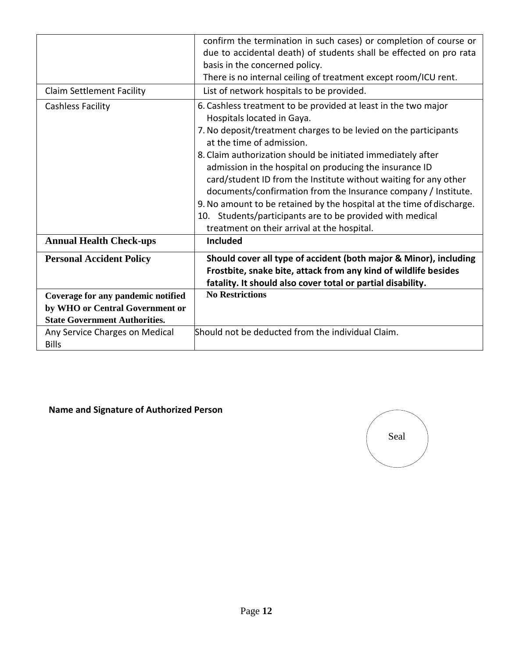|                                                                                                               | confirm the termination in such cases) or completion of course or<br>due to accidental death) of students shall be effected on pro rata<br>basis in the concerned policy.<br>There is no internal ceiling of treatment except room/ICU rent.                                                                                                                                                                                                                                                                                                                                                                                                        |
|---------------------------------------------------------------------------------------------------------------|-----------------------------------------------------------------------------------------------------------------------------------------------------------------------------------------------------------------------------------------------------------------------------------------------------------------------------------------------------------------------------------------------------------------------------------------------------------------------------------------------------------------------------------------------------------------------------------------------------------------------------------------------------|
| <b>Claim Settlement Facility</b>                                                                              | List of network hospitals to be provided.                                                                                                                                                                                                                                                                                                                                                                                                                                                                                                                                                                                                           |
| <b>Cashless Facility</b>                                                                                      | 6. Cashless treatment to be provided at least in the two major<br>Hospitals located in Gaya.<br>7. No deposit/treatment charges to be levied on the participants<br>at the time of admission.<br>8. Claim authorization should be initiated immediately after<br>admission in the hospital on producing the insurance ID<br>card/student ID from the Institute without waiting for any other<br>documents/confirmation from the Insurance company / Institute.<br>9. No amount to be retained by the hospital at the time of discharge.<br>10. Students/participants are to be provided with medical<br>treatment on their arrival at the hospital. |
| <b>Annual Health Check-ups</b>                                                                                | <b>Included</b>                                                                                                                                                                                                                                                                                                                                                                                                                                                                                                                                                                                                                                     |
| <b>Personal Accident Policy</b>                                                                               | Should cover all type of accident (both major & Minor), including<br>Frostbite, snake bite, attack from any kind of wildlife besides<br>fatality. It should also cover total or partial disability.                                                                                                                                                                                                                                                                                                                                                                                                                                                 |
| Coverage for any pandemic notified<br>by WHO or Central Government or<br><b>State Government Authorities.</b> | <b>No Restrictions</b>                                                                                                                                                                                                                                                                                                                                                                                                                                                                                                                                                                                                                              |
| Any Service Charges on Medical<br><b>Bills</b>                                                                | Should not be deducted from the individual Claim.                                                                                                                                                                                                                                                                                                                                                                                                                                                                                                                                                                                                   |

**Name and Signature of Authorized Person**

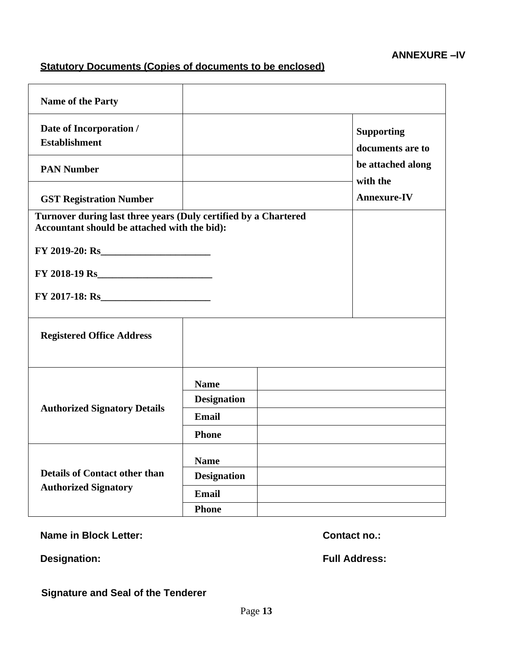### **Statutory Documents (Copies of documents to be enclosed)**

| <b>Name of the Party</b>                                                                                        |                    |                               |                                       |  |
|-----------------------------------------------------------------------------------------------------------------|--------------------|-------------------------------|---------------------------------------|--|
| Date of Incorporation /<br><b>Establishment</b>                                                                 |                    |                               | <b>Supporting</b><br>documents are to |  |
| <b>PAN Number</b>                                                                                               |                    | be attached along<br>with the |                                       |  |
| <b>GST Registration Number</b>                                                                                  |                    |                               | <b>Annexure-IV</b>                    |  |
| Turnover during last three years (Duly certified by a Chartered<br>Accountant should be attached with the bid): |                    |                               |                                       |  |
| $FY$ 2019-20: Rs                                                                                                |                    |                               |                                       |  |
| $FY$ 2018-19 Rs                                                                                                 |                    |                               |                                       |  |
| $FY$ 2017-18: Rs                                                                                                |                    |                               |                                       |  |
| <b>Registered Office Address</b>                                                                                |                    |                               |                                       |  |
|                                                                                                                 | <b>Name</b>        |                               |                                       |  |
|                                                                                                                 | <b>Designation</b> |                               |                                       |  |
| <b>Authorized Signatory Details</b>                                                                             | <b>Email</b>       |                               |                                       |  |
|                                                                                                                 | <b>Phone</b>       |                               |                                       |  |
|                                                                                                                 | <b>Name</b>        |                               |                                       |  |
| <b>Details of Contact other than</b>                                                                            | <b>Designation</b> |                               |                                       |  |
| <b>Authorized Signatory</b>                                                                                     | Email              |                               |                                       |  |
|                                                                                                                 | <b>Phone</b>       |                               |                                       |  |

**Name in Block Letter: Contact no.:** 

**Designation:** Full Address:

**Signature and Seal of the Tenderer**